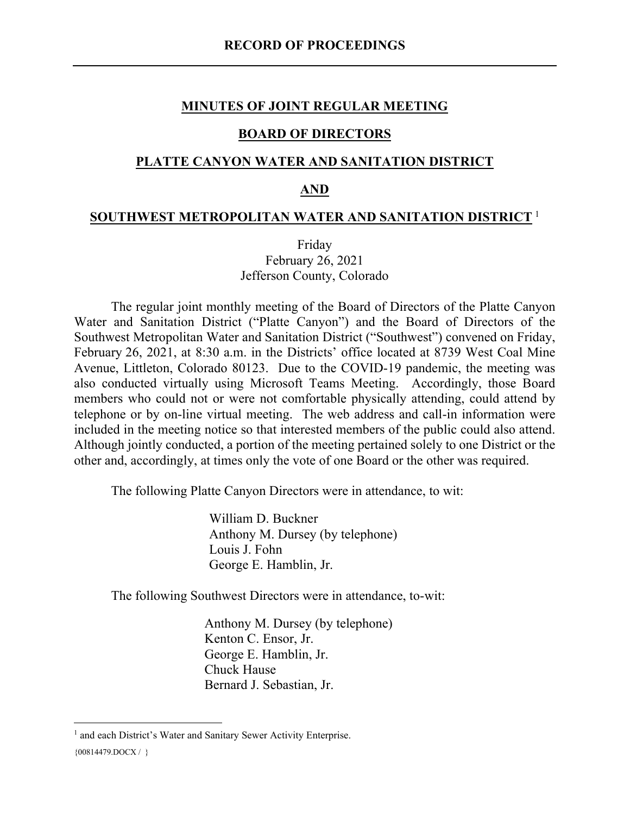#### **MINUTES OF JOINT REGULAR MEETING**

#### **BOARD OF DIRECTORS**

#### **PLATTE CANYON WATER AND SANITATION DISTRICT**

#### **AND**

#### **SOUTHWEST METROPOLITAN WATER AND SANITATION DISTRICT** [1](#page-0-0)

Friday February 26, 2021 Jefferson County, Colorado

The regular joint monthly meeting of the Board of Directors of the Platte Canyon Water and Sanitation District ("Platte Canyon") and the Board of Directors of the Southwest Metropolitan Water and Sanitation District ("Southwest") convened on Friday, February 26, 2021, at 8:30 a.m. in the Districts' office located at 8739 West Coal Mine Avenue, Littleton, Colorado 80123. Due to the COVID-19 pandemic, the meeting was also conducted virtually using Microsoft Teams Meeting. Accordingly, those Board members who could not or were not comfortable physically attending, could attend by telephone or by on-line virtual meeting. The web address and call-in information were included in the meeting notice so that interested members of the public could also attend. Although jointly conducted, a portion of the meeting pertained solely to one District or the other and, accordingly, at times only the vote of one Board or the other was required.

The following Platte Canyon Directors were in attendance, to wit:

William D. Buckner Anthony M. Dursey (by telephone) Louis J. Fohn George E. Hamblin, Jr.

The following Southwest Directors were in attendance, to-wit:

Anthony M. Dursey (by telephone) Kenton C. Ensor, Jr. George E. Hamblin, Jr. Chuck Hause Bernard J. Sebastian, Jr.

<span id="page-0-0"></span><sup>{00814479.</sup>DOCX / } <sup>1</sup> and each District's Water and Sanitary Sewer Activity Enterprise.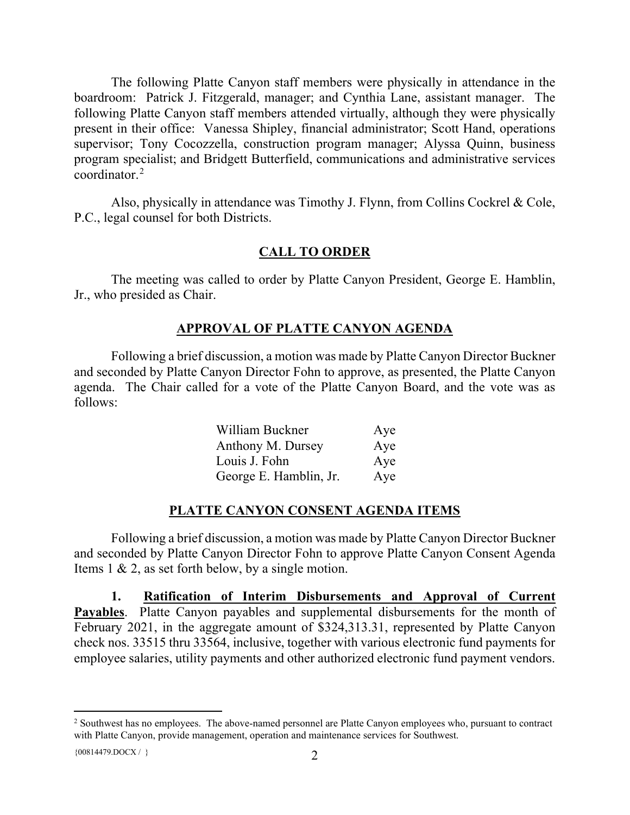The following Platte Canyon staff members were physically in attendance in the boardroom: Patrick J. Fitzgerald, manager; and Cynthia Lane, assistant manager. The following Platte Canyon staff members attended virtually, although they were physically present in their office: Vanessa Shipley, financial administrator; Scott Hand, operations supervisor; Tony Cocozzella, construction program manager; Alyssa Quinn, business program specialist; and Bridgett Butterfield, communications and administrative services coordinator.[2](#page-1-0)

Also, physically in attendance was Timothy J. Flynn, from Collins Cockrel & Cole, P.C., legal counsel for both Districts.

### **CALL TO ORDER**

The meeting was called to order by Platte Canyon President, George E. Hamblin, Jr., who presided as Chair.

#### **APPROVAL OF PLATTE CANYON AGENDA**

Following a brief discussion, a motion was made by Platte Canyon Director Buckner and seconded by Platte Canyon Director Fohn to approve, as presented, the Platte Canyon agenda. The Chair called for a vote of the Platte Canyon Board, and the vote was as follows:

| William Buckner        | Aye |
|------------------------|-----|
| Anthony M. Dursey      | Aye |
| Louis J. Fohn          | Aye |
| George E. Hamblin, Jr. | Aye |

#### **PLATTE CANYON CONSENT AGENDA ITEMS**

Following a brief discussion, a motion was made by Platte Canyon Director Buckner and seconded by Platte Canyon Director Fohn to approve Platte Canyon Consent Agenda Items 1 & 2, as set forth below, by a single motion.

**1. Ratification of Interim Disbursements and Approval of Current Payables**. Platte Canyon payables and supplemental disbursements for the month of February 2021, in the aggregate amount of \$324,313.31, represented by Platte Canyon check nos. 33515 thru 33564, inclusive, together with various electronic fund payments for employee salaries, utility payments and other authorized electronic fund payment vendors.

<span id="page-1-0"></span><sup>&</sup>lt;sup>2</sup> Southwest has no employees. The above-named personnel are Platte Canyon employees who, pursuant to contract with Platte Canyon, provide management, operation and maintenance services for Southwest.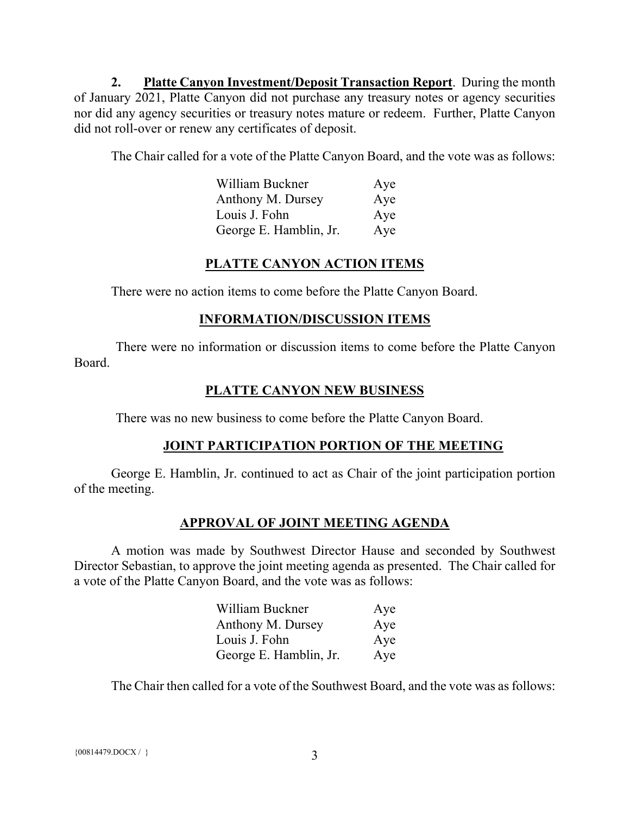**2. Platte Canyon Investment/Deposit Transaction Report**. During the month of January 2021, Platte Canyon did not purchase any treasury notes or agency securities nor did any agency securities or treasury notes mature or redeem. Further, Platte Canyon did not roll-over or renew any certificates of deposit.

The Chair called for a vote of the Platte Canyon Board, and the vote was as follows:

| William Buckner        | Aye |
|------------------------|-----|
| Anthony M. Dursey      | Aye |
| Louis J. Fohn          | Aye |
| George E. Hamblin, Jr. | Aye |

## **PLATTE CANYON ACTION ITEMS**

There were no action items to come before the Platte Canyon Board.

### **INFORMATION/DISCUSSION ITEMS**

There were no information or discussion items to come before the Platte Canyon Board.

## **PLATTE CANYON NEW BUSINESS**

There was no new business to come before the Platte Canyon Board.

# **JOINT PARTICIPATION PORTION OF THE MEETING**

George E. Hamblin, Jr. continued to act as Chair of the joint participation portion of the meeting.

## **APPROVAL OF JOINT MEETING AGENDA**

A motion was made by Southwest Director Hause and seconded by Southwest Director Sebastian, to approve the joint meeting agenda as presented. The Chair called for a vote of the Platte Canyon Board, and the vote was as follows:

| William Buckner        | Aye |
|------------------------|-----|
| Anthony M. Dursey      | Aye |
| Louis J. Fohn          | Aye |
| George E. Hamblin, Jr. | Aye |

The Chair then called for a vote of the Southwest Board, and the vote was as follows: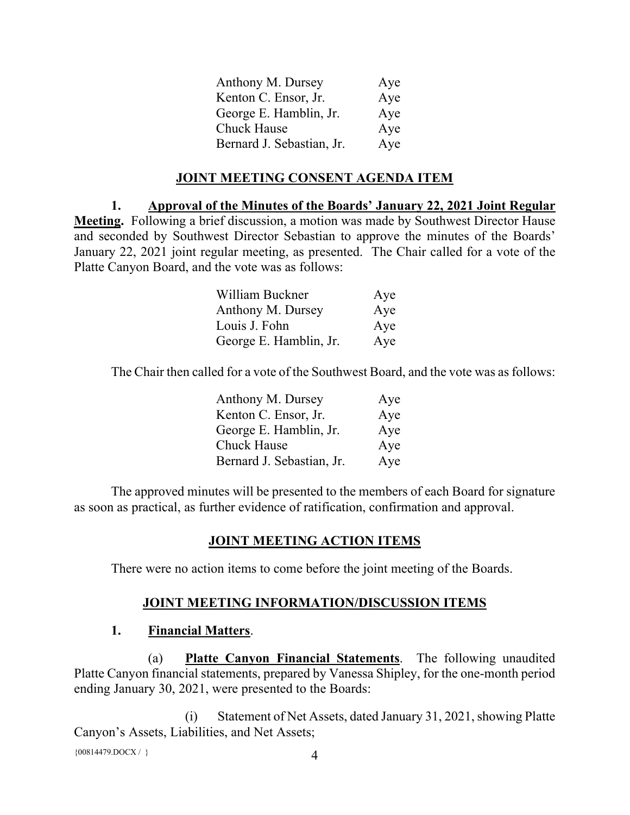| Anthony M. Dursey         | Aye |
|---------------------------|-----|
| Kenton C. Ensor, Jr.      | Aye |
| George E. Hamblin, Jr.    | Aye |
| <b>Chuck Hause</b>        | Aye |
| Bernard J. Sebastian, Jr. | Aye |

### **JOINT MEETING CONSENT AGENDA ITEM**

**1. Approval of the Minutes of the Boards' January 22, 2021 Joint Regular Meeting.** Following a brief discussion, a motion was made by Southwest Director Hause and seconded by Southwest Director Sebastian to approve the minutes of the Boards' January 22, 2021 joint regular meeting, as presented. The Chair called for a vote of the Platte Canyon Board, and the vote was as follows:

| William Buckner        | Aye |
|------------------------|-----|
| Anthony M. Dursey      | Aye |
| Louis J. Fohn          | Aye |
| George E. Hamblin, Jr. | Aye |

The Chair then called for a vote of the Southwest Board, and the vote was as follows:

| Anthony M. Dursey         | Aye |
|---------------------------|-----|
| Kenton C. Ensor, Jr.      | Aye |
| George E. Hamblin, Jr.    | Aye |
| Chuck Hause               | Aye |
| Bernard J. Sebastian, Jr. | Aye |

The approved minutes will be presented to the members of each Board for signature as soon as practical, as further evidence of ratification, confirmation and approval.

#### **JOINT MEETING ACTION ITEMS**

There were no action items to come before the joint meeting of the Boards.

#### **JOINT MEETING INFORMATION/DISCUSSION ITEMS**

#### **1. Financial Matters**.

(a) **Platte Canyon Financial Statements**. The following unaudited Platte Canyon financial statements, prepared by Vanessa Shipley, for the one-month period ending January 30, 2021, were presented to the Boards:

(i) Statement of Net Assets, dated January 31, 2021, showing Platte Canyon's Assets, Liabilities, and Net Assets;

 ${00814479. \text{DOCX} / }$  4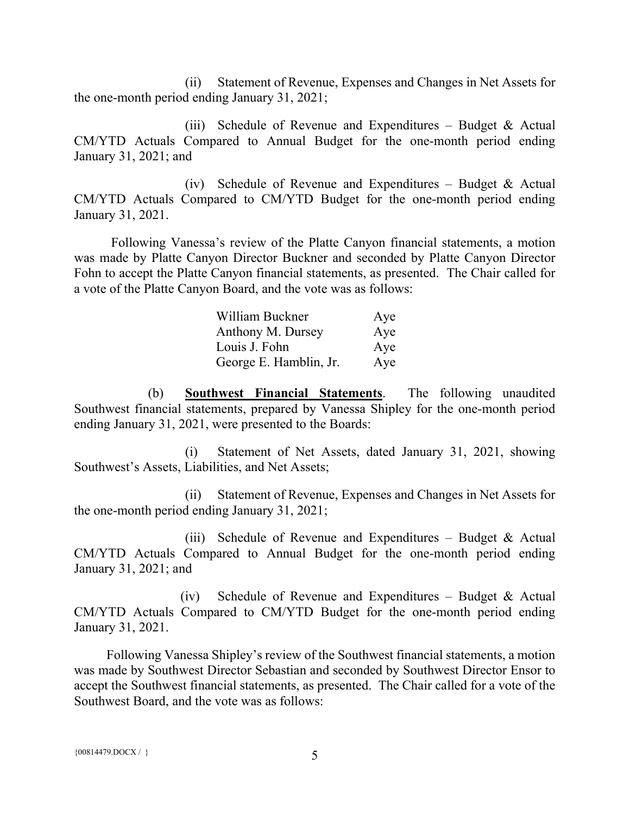(ii) Statement of Revenue, Expenses and Changes in Net Assets for the one-month period ending January 31, 2021;

(iii) Schedule of Revenue and Expenditures – Budget & Actual CM/YTD Actuals Compared to Annual Budget for the one-month period ending January 31, 2021; and

(iv) Schedule of Revenue and Expenditures – Budget & Actual CM/YTD Actuals Compared to CM/YTD Budget for the one-month period ending January 31, 2021.

Following Vanessa's review of the Platte Canyon financial statements, a motion was made by Platte Canyon Director Buckner and seconded by Platte Canyon Director Fohn to accept the Platte Canyon financial statements, as presented. The Chair called for a vote of the Platte Canyon Board, and the vote was as follows:

| William Buckner        | Aye |
|------------------------|-----|
| Anthony M. Dursey      | Aye |
| Louis J. Fohn          | Aye |
| George E. Hamblin, Jr. | Aye |

(b) **Southwest Financial Statements**. The following unaudited Southwest financial statements, prepared by Vanessa Shipley for the one-month period ending January 31, 2021, were presented to the Boards:

(i) Statement of Net Assets, dated January 31, 2021, showing Southwest's Assets, Liabilities, and Net Assets;

(ii) Statement of Revenue, Expenses and Changes in Net Assets for the one-month period ending January 31, 2021;

(iii) Schedule of Revenue and Expenditures – Budget & Actual CM/YTD Actuals Compared to Annual Budget for the one-month period ending January 31, 2021; and

(iv) Schedule of Revenue and Expenditures – Budget & Actual CM/YTD Actuals Compared to CM/YTD Budget for the one-month period ending January 31, 2021.

Following Vanessa Shipley's review of the Southwest financial statements, a motion was made by Southwest Director Sebastian and seconded by Southwest Director Ensor to accept the Southwest financial statements, as presented. The Chair called for a vote of the Southwest Board, and the vote was as follows: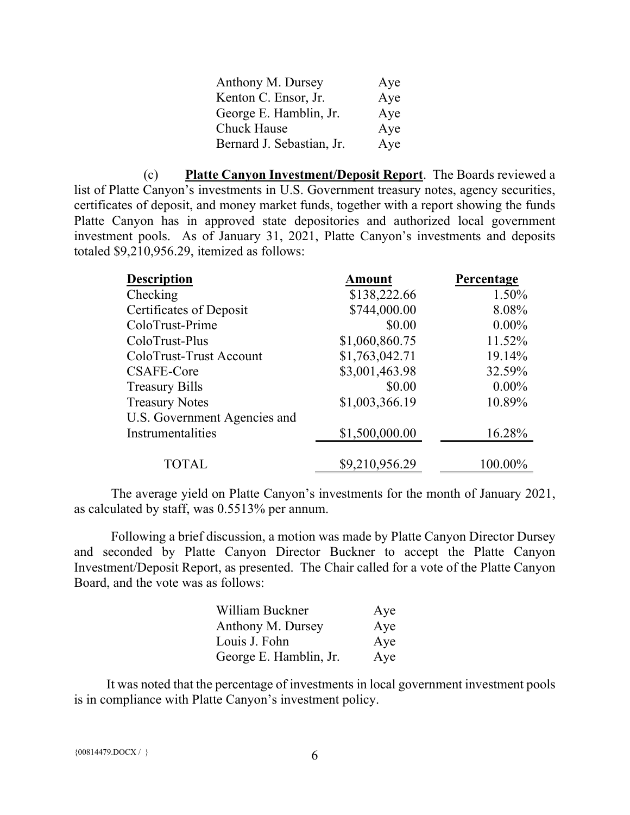| Anthony M. Dursey         | Aye |
|---------------------------|-----|
| Kenton C. Ensor, Jr.      | Aye |
| George E. Hamblin, Jr.    | Aye |
| <b>Chuck Hause</b>        | Aye |
| Bernard J. Sebastian, Jr. | Aye |

(c) **Platte Canyon Investment/Deposit Report**. The Boards reviewed a list of Platte Canyon's investments in U.S. Government treasury notes, agency securities, certificates of deposit, and money market funds, together with a report showing the funds Platte Canyon has in approved state depositories and authorized local government investment pools. As of January 31, 2021, Platte Canyon's investments and deposits totaled \$9,210,956.29, itemized as follows:

| <b>Description</b>           | Amount         | Percentage |
|------------------------------|----------------|------------|
| Checking                     | \$138,222.66   | 1.50%      |
| Certificates of Deposit      | \$744,000.00   | 8.08%      |
| ColoTrust-Prime              | \$0.00         | $0.00\%$   |
| ColoTrust-Plus               | \$1,060,860.75 | 11.52%     |
| ColoTrust-Trust Account      | \$1,763,042.71 | 19.14%     |
| CSAFE-Core                   | \$3,001,463.98 | 32.59%     |
| <b>Treasury Bills</b>        | \$0.00         | $0.00\%$   |
| <b>Treasury Notes</b>        | \$1,003,366.19 | 10.89%     |
| U.S. Government Agencies and |                |            |
| Instrumentalities            | \$1,500,000.00 | 16.28%     |
|                              |                |            |
| TOTAL                        | \$9,210,956.29 | 100.00%    |

The average yield on Platte Canyon's investments for the month of January 2021, as calculated by staff, was 0.5513% per annum.

Following a brief discussion, a motion was made by Platte Canyon Director Dursey and seconded by Platte Canyon Director Buckner to accept the Platte Canyon Investment/Deposit Report, as presented. The Chair called for a vote of the Platte Canyon Board, and the vote was as follows:

| William Buckner        | Aye |
|------------------------|-----|
| Anthony M. Dursey      | Aye |
| Louis J. Fohn          | Aye |
| George E. Hamblin, Jr. | Aye |

It was noted that the percentage of investments in local government investment pools is in compliance with Platte Canyon's investment policy.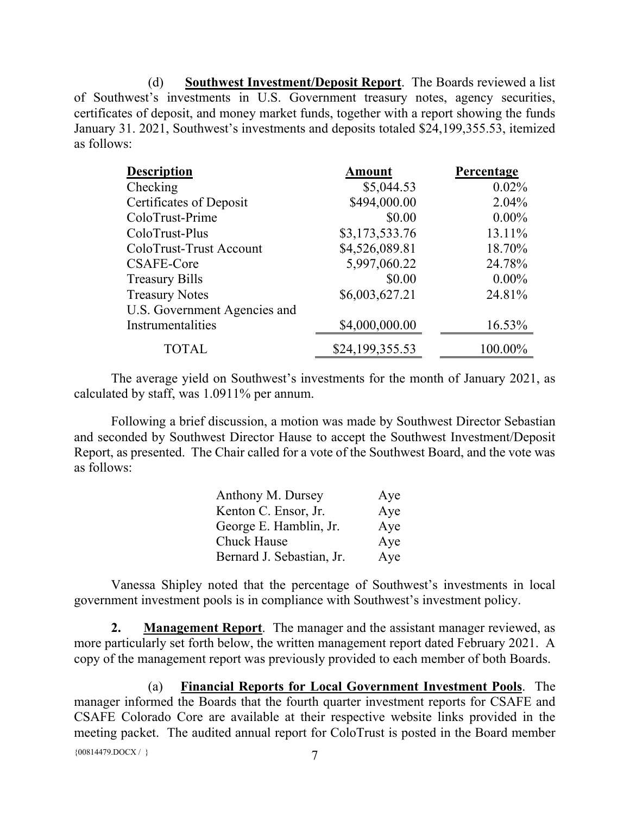(d) **Southwest Investment/Deposit Report**. The Boards reviewed a list of Southwest's investments in U.S. Government treasury notes, agency securities, certificates of deposit, and money market funds, together with a report showing the funds January 31. 2021, Southwest's investments and deposits totaled \$24,199,355.53, itemized as follows:

| <b>Description</b>           | <b>Amount</b>   | Percentage |
|------------------------------|-----------------|------------|
| Checking                     | \$5,044.53      | $0.02\%$   |
| Certificates of Deposit      | \$494,000.00    | 2.04%      |
| ColoTrust-Prime              | \$0.00          | $0.00\%$   |
| ColoTrust-Plus               | \$3,173,533.76  | 13.11%     |
| ColoTrust-Trust Account      | \$4,526,089.81  | 18.70%     |
| CSAFE-Core                   | 5,997,060.22    | 24.78%     |
| <b>Treasury Bills</b>        | \$0.00          | $0.00\%$   |
| <b>Treasury Notes</b>        | \$6,003,627.21  | 24.81%     |
| U.S. Government Agencies and |                 |            |
| Instrumentalities            | \$4,000,000.00  | 16.53%     |
| <b>TOTAL</b>                 | \$24,199,355.53 | 100.00%    |

The average yield on Southwest's investments for the month of January 2021, as calculated by staff, was 1.0911% per annum.

Following a brief discussion, a motion was made by Southwest Director Sebastian and seconded by Southwest Director Hause to accept the Southwest Investment/Deposit Report, as presented. The Chair called for a vote of the Southwest Board, and the vote was as follows:

| Anthony M. Dursey         | Aye |
|---------------------------|-----|
| Kenton C. Ensor, Jr.      | Aye |
| George E. Hamblin, Jr.    | Aye |
| <b>Chuck Hause</b>        | Aye |
| Bernard J. Sebastian, Jr. | Aye |

Vanessa Shipley noted that the percentage of Southwest's investments in local government investment pools is in compliance with Southwest's investment policy.

**2. Management Report**. The manager and the assistant manager reviewed, as more particularly set forth below, the written management report dated February 2021. A copy of the management report was previously provided to each member of both Boards.

 ${00814479. \text{DOC} \times} /$ (a) **Financial Reports for Local Government Investment Pools**. The manager informed the Boards that the fourth quarter investment reports for CSAFE and CSAFE Colorado Core are available at their respective website links provided in the meeting packet. The audited annual report for ColoTrust is posted in the Board member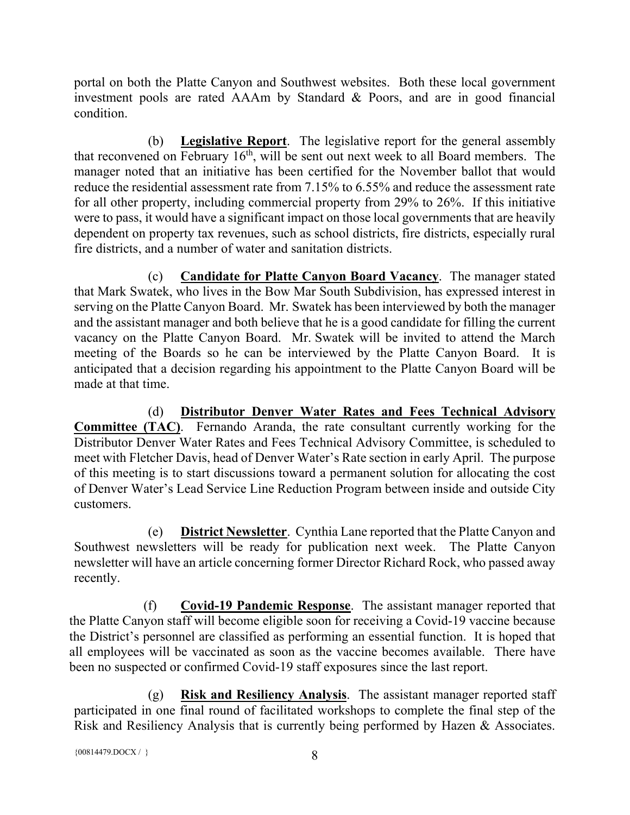portal on both the Platte Canyon and Southwest websites. Both these local government investment pools are rated AAAm by Standard & Poors, and are in good financial condition.

(b) **Legislative Report**. The legislative report for the general assembly that reconvened on February  $16<sup>th</sup>$ , will be sent out next week to all Board members. The manager noted that an initiative has been certified for the November ballot that would reduce the residential assessment rate from 7.15% to 6.55% and reduce the assessment rate for all other property, including commercial property from 29% to 26%. If this initiative were to pass, it would have a significant impact on those local governments that are heavily dependent on property tax revenues, such as school districts, fire districts, especially rural fire districts, and a number of water and sanitation districts.

(c) **Candidate for Platte Canyon Board Vacancy**. The manager stated that Mark Swatek, who lives in the Bow Mar South Subdivision, has expressed interest in serving on the Platte Canyon Board. Mr. Swatek has been interviewed by both the manager and the assistant manager and both believe that he is a good candidate for filling the current vacancy on the Platte Canyon Board. Mr. Swatek will be invited to attend the March meeting of the Boards so he can be interviewed by the Platte Canyon Board. It is anticipated that a decision regarding his appointment to the Platte Canyon Board will be made at that time.

(d) **Distributor Denver Water Rates and Fees Technical Advisory Committee (TAC)**. Fernando Aranda, the rate consultant currently working for the Distributor Denver Water Rates and Fees Technical Advisory Committee, is scheduled to meet with Fletcher Davis, head of Denver Water's Rate section in early April. The purpose of this meeting is to start discussions toward a permanent solution for allocating the cost of Denver Water's Lead Service Line Reduction Program between inside and outside City customers.

(e) **District Newsletter**. Cynthia Lane reported that the Platte Canyon and Southwest newsletters will be ready for publication next week. The Platte Canyon newsletter will have an article concerning former Director Richard Rock, who passed away recently.

(f) **Covid-19 Pandemic Response**. The assistant manager reported that the Platte Canyon staff will become eligible soon for receiving a Covid-19 vaccine because the District's personnel are classified as performing an essential function. It is hoped that all employees will be vaccinated as soon as the vaccine becomes available. There have been no suspected or confirmed Covid-19 staff exposures since the last report.

(g) **Risk and Resiliency Analysis**. The assistant manager reported staff participated in one final round of facilitated workshops to complete the final step of the Risk and Resiliency Analysis that is currently being performed by Hazen & Associates.

```
{00814479.DOCX / } 8
```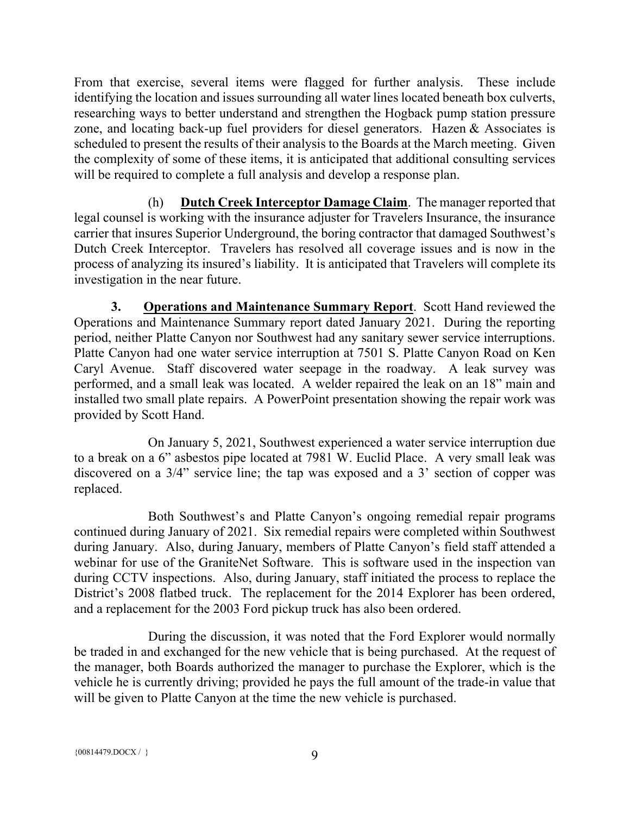From that exercise, several items were flagged for further analysis. These include identifying the location and issues surrounding all water lines located beneath box culverts, researching ways to better understand and strengthen the Hogback pump station pressure zone, and locating back-up fuel providers for diesel generators. Hazen & Associates is scheduled to present the results of their analysis to the Boards at the March meeting. Given the complexity of some of these items, it is anticipated that additional consulting services will be required to complete a full analysis and develop a response plan.

(h) **Dutch Creek Interceptor Damage Claim**. The manager reported that legal counsel is working with the insurance adjuster for Travelers Insurance, the insurance carrier that insures Superior Underground, the boring contractor that damaged Southwest's Dutch Creek Interceptor. Travelers has resolved all coverage issues and is now in the process of analyzing its insured's liability. It is anticipated that Travelers will complete its investigation in the near future.

**3. Operations and Maintenance Summary Report**. Scott Hand reviewed the Operations and Maintenance Summary report dated January 2021. During the reporting period, neither Platte Canyon nor Southwest had any sanitary sewer service interruptions. Platte Canyon had one water service interruption at 7501 S. Platte Canyon Road on Ken Caryl Avenue. Staff discovered water seepage in the roadway. A leak survey was performed, and a small leak was located. A welder repaired the leak on an 18" main and installed two small plate repairs. A PowerPoint presentation showing the repair work was provided by Scott Hand.

On January 5, 2021, Southwest experienced a water service interruption due to a break on a 6" asbestos pipe located at 7981 W. Euclid Place. A very small leak was discovered on a 3/4" service line; the tap was exposed and a 3' section of copper was replaced.

Both Southwest's and Platte Canyon's ongoing remedial repair programs continued during January of 2021. Six remedial repairs were completed within Southwest during January. Also, during January, members of Platte Canyon's field staff attended a webinar for use of the GraniteNet Software. This is software used in the inspection van during CCTV inspections. Also, during January, staff initiated the process to replace the District's 2008 flatbed truck. The replacement for the 2014 Explorer has been ordered, and a replacement for the 2003 Ford pickup truck has also been ordered.

During the discussion, it was noted that the Ford Explorer would normally be traded in and exchanged for the new vehicle that is being purchased. At the request of the manager, both Boards authorized the manager to purchase the Explorer, which is the vehicle he is currently driving; provided he pays the full amount of the trade-in value that will be given to Platte Canyon at the time the new vehicle is purchased.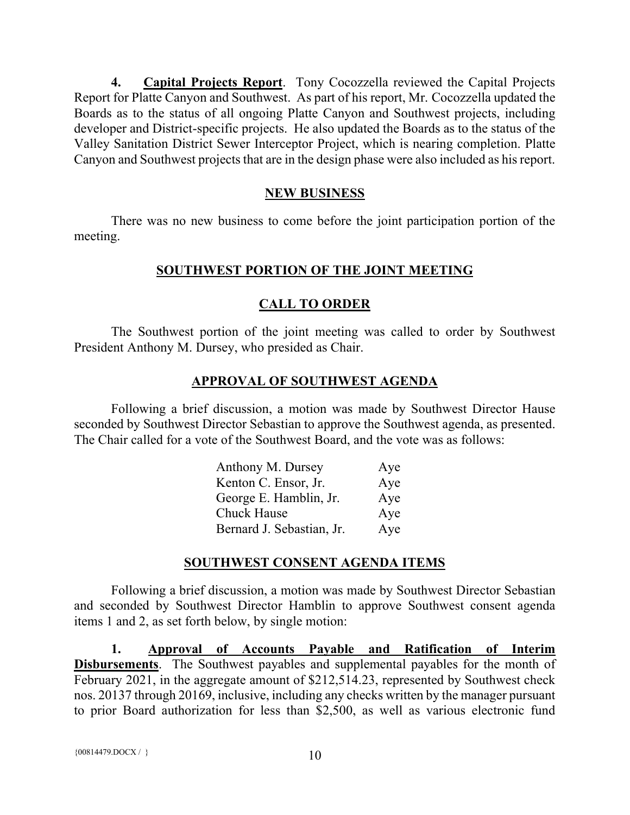**4. Capital Projects Report**. Tony Cocozzella reviewed the Capital Projects Report for Platte Canyon and Southwest. As part of his report, Mr. Cocozzella updated the Boards as to the status of all ongoing Platte Canyon and Southwest projects, including developer and District-specific projects. He also updated the Boards as to the status of the Valley Sanitation District Sewer Interceptor Project, which is nearing completion. Platte Canyon and Southwest projects that are in the design phase were also included as his report.

### **NEW BUSINESS**

There was no new business to come before the joint participation portion of the meeting.

## **SOUTHWEST PORTION OF THE JOINT MEETING**

## **CALL TO ORDER**

The Southwest portion of the joint meeting was called to order by Southwest President Anthony M. Dursey, who presided as Chair.

## **APPROVAL OF SOUTHWEST AGENDA**

Following a brief discussion, a motion was made by Southwest Director Hause seconded by Southwest Director Sebastian to approve the Southwest agenda, as presented. The Chair called for a vote of the Southwest Board, and the vote was as follows:

| Anthony M. Dursey         | Aye |
|---------------------------|-----|
| Kenton C. Ensor, Jr.      | Aye |
| George E. Hamblin, Jr.    | Aye |
| <b>Chuck Hause</b>        | Aye |
| Bernard J. Sebastian, Jr. | Aye |

#### **SOUTHWEST CONSENT AGENDA ITEMS**

Following a brief discussion, a motion was made by Southwest Director Sebastian and seconded by Southwest Director Hamblin to approve Southwest consent agenda items 1 and 2, as set forth below, by single motion:

**1. Approval of Accounts Payable and Ratification of Interim Disbursements**. The Southwest payables and supplemental payables for the month of February 2021, in the aggregate amount of \$212,514.23, represented by Southwest check nos. 20137 through 20169, inclusive, including any checks written by the manager pursuant to prior Board authorization for less than \$2,500, as well as various electronic fund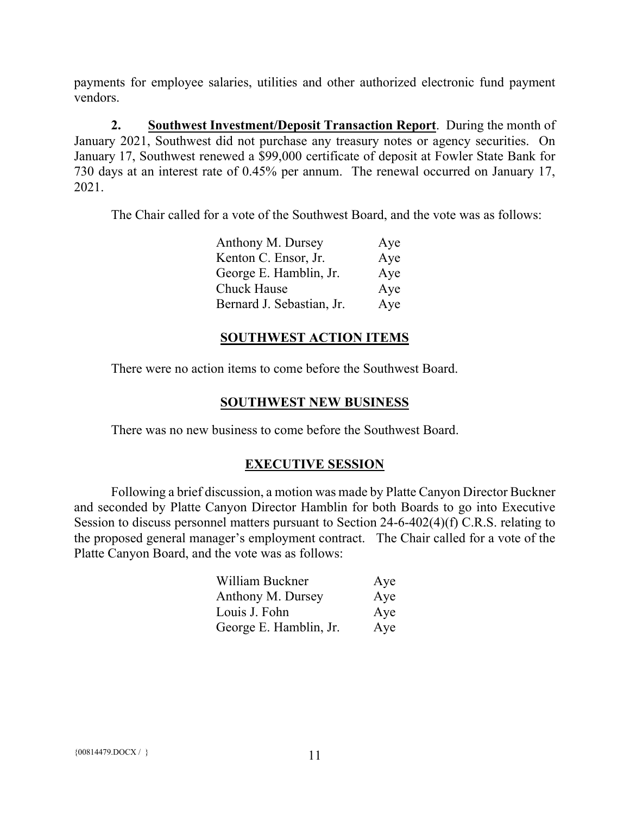payments for employee salaries, utilities and other authorized electronic fund payment vendors.

**2. Southwest Investment/Deposit Transaction Report**. During the month of January 2021, Southwest did not purchase any treasury notes or agency securities. On January 17, Southwest renewed a \$99,000 certificate of deposit at Fowler State Bank for 730 days at an interest rate of 0.45% per annum. The renewal occurred on January 17, 2021.

The Chair called for a vote of the Southwest Board, and the vote was as follows:

| Anthony M. Dursey         | Aye |
|---------------------------|-----|
| Kenton C. Ensor, Jr.      | Aye |
| George E. Hamblin, Jr.    | Aye |
| Chuck Hause               | Aye |
| Bernard J. Sebastian, Jr. | Aye |

### **SOUTHWEST ACTION ITEMS**

There were no action items to come before the Southwest Board.

### **SOUTHWEST NEW BUSINESS**

There was no new business to come before the Southwest Board.

## **EXECUTIVE SESSION**

Following a brief discussion, a motion was made by Platte Canyon Director Buckner and seconded by Platte Canyon Director Hamblin for both Boards to go into Executive Session to discuss personnel matters pursuant to Section 24-6-402(4)(f) C.R.S. relating to the proposed general manager's employment contract. The Chair called for a vote of the Platte Canyon Board, and the vote was as follows:

| William Buckner        | Aye |
|------------------------|-----|
| Anthony M. Dursey      | Aye |
| Louis J. Fohn          | Aye |
| George E. Hamblin, Jr. | Aye |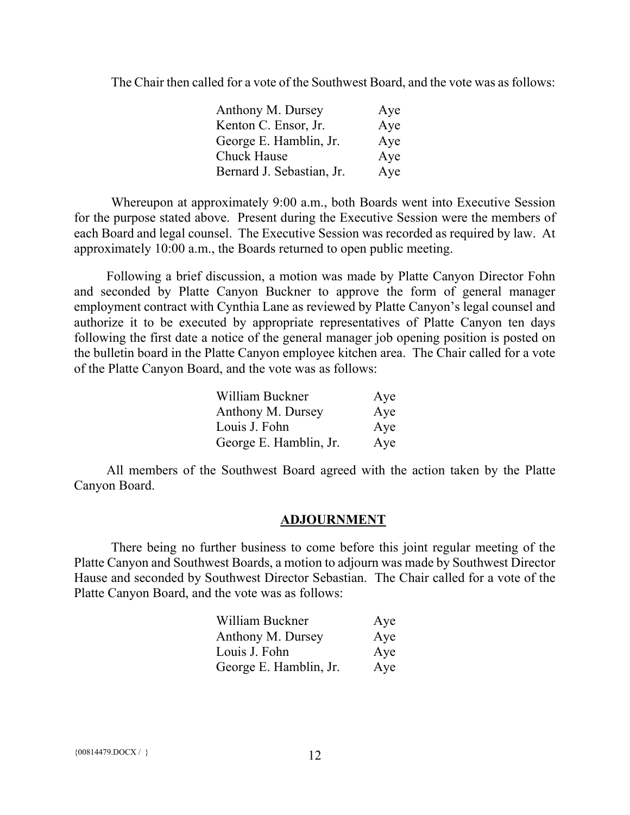The Chair then called for a vote of the Southwest Board, and the vote was as follows:

| Anthony M. Dursey         | Aye |
|---------------------------|-----|
| Kenton C. Ensor, Jr.      | Aye |
| George E. Hamblin, Jr.    | Aye |
| Chuck Hause               | Aye |
| Bernard J. Sebastian, Jr. | Aye |

Whereupon at approximately 9:00 a.m., both Boards went into Executive Session for the purpose stated above. Present during the Executive Session were the members of each Board and legal counsel. The Executive Session was recorded as required by law. At approximately 10:00 a.m., the Boards returned to open public meeting.

Following a brief discussion, a motion was made by Platte Canyon Director Fohn and seconded by Platte Canyon Buckner to approve the form of general manager employment contract with Cynthia Lane as reviewed by Platte Canyon's legal counsel and authorize it to be executed by appropriate representatives of Platte Canyon ten days following the first date a notice of the general manager job opening position is posted on the bulletin board in the Platte Canyon employee kitchen area. The Chair called for a vote of the Platte Canyon Board, and the vote was as follows:

| William Buckner        | Aye |
|------------------------|-----|
| Anthony M. Dursey      | Aye |
| Louis J. Fohn          | Aye |
| George E. Hamblin, Jr. | Aye |

All members of the Southwest Board agreed with the action taken by the Platte Canyon Board.

#### **ADJOURNMENT**

There being no further business to come before this joint regular meeting of the Platte Canyon and Southwest Boards, a motion to adjourn was made by Southwest Director Hause and seconded by Southwest Director Sebastian. The Chair called for a vote of the Platte Canyon Board, and the vote was as follows:

| William Buckner        | Aye |
|------------------------|-----|
| Anthony M. Dursey      | Aye |
| Louis J. Fohn          | Aye |
| George E. Hamblin, Jr. | Aye |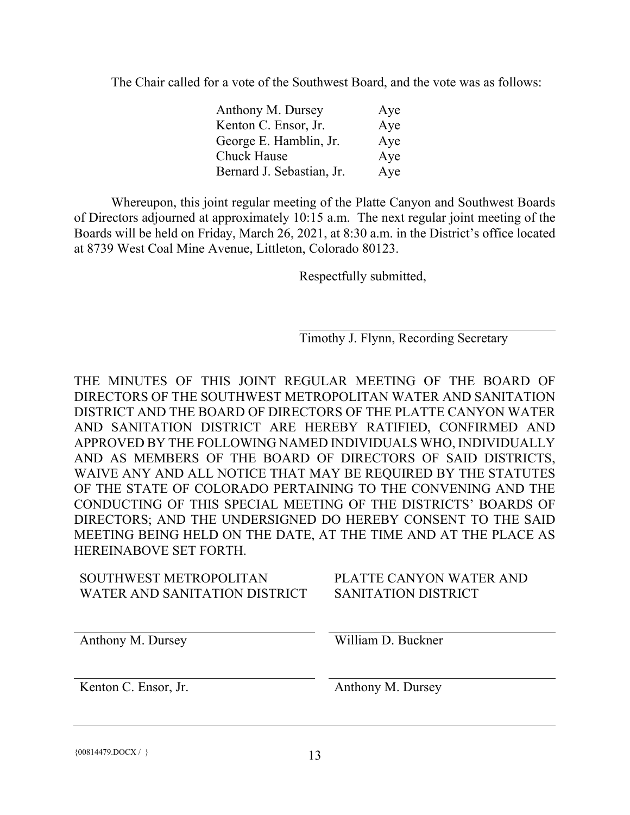The Chair called for a vote of the Southwest Board, and the vote was as follows:

| Anthony M. Dursey         | Aye |
|---------------------------|-----|
| Kenton C. Ensor, Jr.      | Aye |
| George E. Hamblin, Jr.    | Aye |
| Chuck Hause               | Aye |
| Bernard J. Sebastian, Jr. | Aye |

Whereupon, this joint regular meeting of the Platte Canyon and Southwest Boards of Directors adjourned at approximately 10:15 a.m. The next regular joint meeting of the Boards will be held on Friday, March 26, 2021, at 8:30 a.m. in the District's office located at 8739 West Coal Mine Avenue, Littleton, Colorado 80123.

Respectfully submitted,

Timothy J. Flynn, Recording Secretary

THE MINUTES OF THIS JOINT REGULAR MEETING OF THE BOARD OF DIRECTORS OF THE SOUTHWEST METROPOLITAN WATER AND SANITATION DISTRICT AND THE BOARD OF DIRECTORS OF THE PLATTE CANYON WATER AND SANITATION DISTRICT ARE HEREBY RATIFIED, CONFIRMED AND APPROVED BY THE FOLLOWING NAMED INDIVIDUALS WHO, INDIVIDUALLY AND AS MEMBERS OF THE BOARD OF DIRECTORS OF SAID DISTRICTS, WAIVE ANY AND ALL NOTICE THAT MAY BE REQUIRED BY THE STATUTES OF THE STATE OF COLORADO PERTAINING TO THE CONVENING AND THE CONDUCTING OF THIS SPECIAL MEETING OF THE DISTRICTS' BOARDS OF DIRECTORS; AND THE UNDERSIGNED DO HEREBY CONSENT TO THE SAID MEETING BEING HELD ON THE DATE, AT THE TIME AND AT THE PLACE AS HEREINABOVE SET FORTH.

| SOUTHWEST METROPOLITAN<br>WATER AND SANITATION DISTRICT | PLATTE CANYON WATER AND<br>SANITATION DISTRICT |
|---------------------------------------------------------|------------------------------------------------|
| Anthony M. Dursey                                       | William D. Buckner                             |
| Kenton C. Ensor, Jr.                                    | Anthony M. Dursey                              |

 ${00814479. \text{DOCX} / }$  13